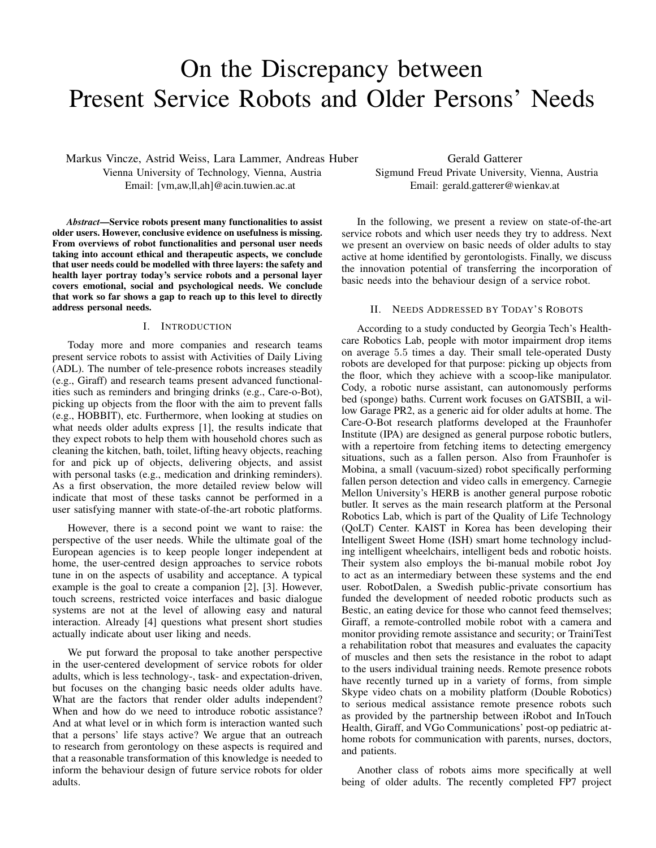# On the Discrepancy between Present Service Robots and Older Persons' Needs

Markus Vincze, Astrid Weiss, Lara Lammer, Andreas Huber Vienna University of Technology, Vienna, Austria Email: [vm,aw,ll,ah]@acin.tuwien.ac.at

*Abstract*—Service robots present many functionalities to assist older users. However, conclusive evidence on usefulness is missing. From overviews of robot functionalities and personal user needs taking into account ethical and therapeutic aspects, we conclude that user needs could be modelled with three layers: the safety and health layer portray today's service robots and a personal layer covers emotional, social and psychological needs. We conclude that work so far shows a gap to reach up to this level to directly address personal needs.

#### I. INTRODUCTION

Today more and more companies and research teams present service robots to assist with Activities of Daily Living (ADL). The number of tele-presence robots increases steadily (e.g., Giraff) and research teams present advanced functionalities such as reminders and bringing drinks (e.g., Care-o-Bot), picking up objects from the floor with the aim to prevent falls (e.g., HOBBIT), etc. Furthermore, when looking at studies on what needs older adults express [1], the results indicate that they expect robots to help them with household chores such as cleaning the kitchen, bath, toilet, lifting heavy objects, reaching for and pick up of objects, delivering objects, and assist with personal tasks (e.g., medication and drinking reminders). As a first observation, the more detailed review below will indicate that most of these tasks cannot be performed in a user satisfying manner with state-of-the-art robotic platforms.

However, there is a second point we want to raise: the perspective of the user needs. While the ultimate goal of the European agencies is to keep people longer independent at home, the user-centred design approaches to service robots tune in on the aspects of usability and acceptance. A typical example is the goal to create a companion [2], [3]. However, touch screens, restricted voice interfaces and basic dialogue systems are not at the level of allowing easy and natural interaction. Already [4] questions what present short studies actually indicate about user liking and needs.

We put forward the proposal to take another perspective in the user-centered development of service robots for older adults, which is less technology-, task- and expectation-driven, but focuses on the changing basic needs older adults have. What are the factors that render older adults independent? When and how do we need to introduce robotic assistance? And at what level or in which form is interaction wanted such that a persons' life stays active? We argue that an outreach to research from gerontology on these aspects is required and that a reasonable transformation of this knowledge is needed to inform the behaviour design of future service robots for older adults.

Gerald Gatterer Sigmund Freud Private University, Vienna, Austria Email: gerald.gatterer@wienkav.at

In the following, we present a review on state-of-the-art service robots and which user needs they try to address. Next we present an overview on basic needs of older adults to stay active at home identified by gerontologists. Finally, we discuss the innovation potential of transferring the incorporation of basic needs into the behaviour design of a service robot.

## II. NEEDS ADDRESSED BY TODAY'S ROBOTS

According to a study conducted by Georgia Tech's Healthcare Robotics Lab, people with motor impairment drop items on average 5.5 times a day. Their small tele-operated Dusty robots are developed for that purpose: picking up objects from the floor, which they achieve with a scoop-like manipulator. Cody, a robotic nurse assistant, can autonomously performs bed (sponge) baths. Current work focuses on GATSBII, a willow Garage PR2, as a generic aid for older adults at home. The Care-O-Bot research platforms developed at the Fraunhofer Institute (IPA) are designed as general purpose robotic butlers, with a repertoire from fetching items to detecting emergency situations, such as a fallen person. Also from Fraunhofer is Mobina, a small (vacuum-sized) robot specifically performing fallen person detection and video calls in emergency. Carnegie Mellon University's HERB is another general purpose robotic butler. It serves as the main research platform at the Personal Robotics Lab, which is part of the Quality of Life Technology (QoLT) Center. KAIST in Korea has been developing their Intelligent Sweet Home (ISH) smart home technology including intelligent wheelchairs, intelligent beds and robotic hoists. Their system also employs the bi-manual mobile robot Joy to act as an intermediary between these systems and the end user. RobotDalen, a Swedish public-private consortium has funded the development of needed robotic products such as Bestic, an eating device for those who cannot feed themselves; Giraff, a remote-controlled mobile robot with a camera and monitor providing remote assistance and security; or TrainiTest a rehabilitation robot that measures and evaluates the capacity of muscles and then sets the resistance in the robot to adapt to the users individual training needs. Remote presence robots have recently turned up in a variety of forms, from simple Skype video chats on a mobility platform (Double Robotics) to serious medical assistance remote presence robots such as provided by the partnership between iRobot and InTouch Health, Giraff, and VGo Communications' post-op pediatric athome robots for communication with parents, nurses, doctors, and patients.

Another class of robots aims more specifically at well being of older adults. The recently completed FP7 project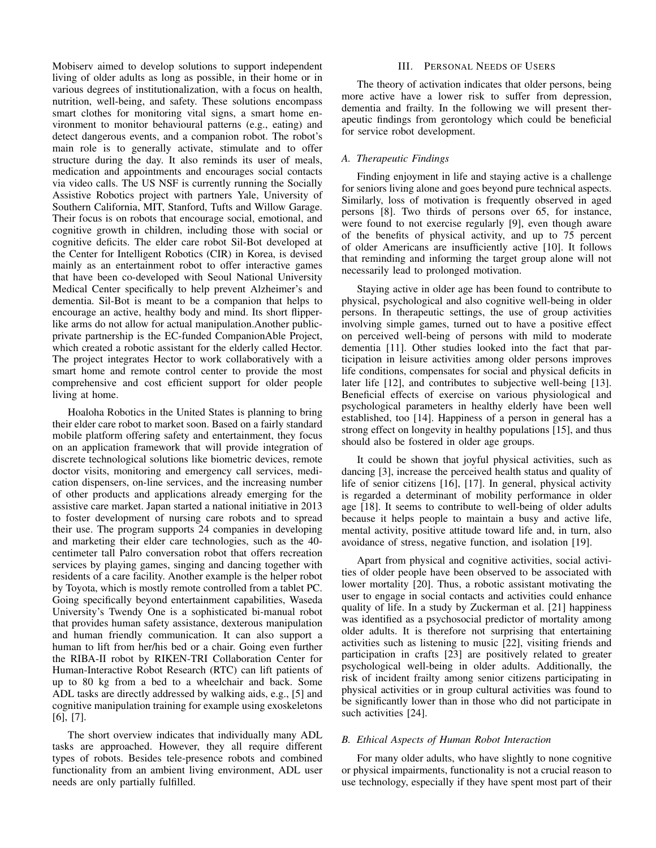Mobiserv aimed to develop solutions to support independent living of older adults as long as possible, in their home or in various degrees of institutionalization, with a focus on health, nutrition, well-being, and safety. These solutions encompass smart clothes for monitoring vital signs, a smart home environment to monitor behavioural patterns (e.g., eating) and detect dangerous events, and a companion robot. The robot's main role is to generally activate, stimulate and to offer structure during the day. It also reminds its user of meals, medication and appointments and encourages social contacts via video calls. The US NSF is currently running the Socially Assistive Robotics project with partners Yale, University of Southern California, MIT, Stanford, Tufts and Willow Garage. Their focus is on robots that encourage social, emotional, and cognitive growth in children, including those with social or cognitive deficits. The elder care robot Sil-Bot developed at the Center for Intelligent Robotics (CIR) in Korea, is devised mainly as an entertainment robot to offer interactive games that have been co-developed with Seoul National University Medical Center specifically to help prevent Alzheimer's and dementia. Sil-Bot is meant to be a companion that helps to encourage an active, healthy body and mind. Its short flipperlike arms do not allow for actual manipulation.Another publicprivate partnership is the EC-funded CompanionAble Project, which created a robotic assistant for the elderly called Hector. The project integrates Hector to work collaboratively with a smart home and remote control center to provide the most comprehensive and cost efficient support for older people living at home.

Hoaloha Robotics in the United States is planning to bring their elder care robot to market soon. Based on a fairly standard mobile platform offering safety and entertainment, they focus on an application framework that will provide integration of discrete technological solutions like biometric devices, remote doctor visits, monitoring and emergency call services, medication dispensers, on-line services, and the increasing number of other products and applications already emerging for the assistive care market. Japan started a national initiative in 2013 to foster development of nursing care robots and to spread their use. The program supports 24 companies in developing and marketing their elder care technologies, such as the 40 centimeter tall Palro conversation robot that offers recreation services by playing games, singing and dancing together with residents of a care facility. Another example is the helper robot by Toyota, which is mostly remote controlled from a tablet PC. Going specifically beyond entertainment capabilities, Waseda University's Twendy One is a sophisticated bi-manual robot that provides human safety assistance, dexterous manipulation and human friendly communication. It can also support a human to lift from her/his bed or a chair. Going even further the RIBA-II robot by RIKEN-TRI Collaboration Center for Human-Interactive Robot Research (RTC) can lift patients of up to 80 kg from a bed to a wheelchair and back. Some ADL tasks are directly addressed by walking aids, e.g., [5] and cognitive manipulation training for example using exoskeletons [6], [7].

The short overview indicates that individually many ADL tasks are approached. However, they all require different types of robots. Besides tele-presence robots and combined functionality from an ambient living environment, ADL user needs are only partially fulfilled.

#### III. PERSONAL NEEDS OF USERS

The theory of activation indicates that older persons, being more active have a lower risk to suffer from depression, dementia and frailty. In the following we will present therapeutic findings from gerontology which could be beneficial for service robot development.

## *A. Therapeutic Findings*

Finding enjoyment in life and staying active is a challenge for seniors living alone and goes beyond pure technical aspects. Similarly, loss of motivation is frequently observed in aged persons [8]. Two thirds of persons over 65, for instance, were found to not exercise regularly [9], even though aware of the benefits of physical activity, and up to 75 percent of older Americans are insufficiently active [10]. It follows that reminding and informing the target group alone will not necessarily lead to prolonged motivation.

Staying active in older age has been found to contribute to physical, psychological and also cognitive well-being in older persons. In therapeutic settings, the use of group activities involving simple games, turned out to have a positive effect on perceived well-being of persons with mild to moderate dementia [11]. Other studies looked into the fact that participation in leisure activities among older persons improves life conditions, compensates for social and physical deficits in later life [12], and contributes to subjective well-being [13]. Beneficial effects of exercise on various physiological and psychological parameters in healthy elderly have been well established, too [14]. Happiness of a person in general has a strong effect on longevity in healthy populations [15], and thus should also be fostered in older age groups.

It could be shown that joyful physical activities, such as dancing [3], increase the perceived health status and quality of life of senior citizens [16], [17]. In general, physical activity is regarded a determinant of mobility performance in older age [18]. It seems to contribute to well-being of older adults because it helps people to maintain a busy and active life, mental activity, positive attitude toward life and, in turn, also avoidance of stress, negative function, and isolation [19].

Apart from physical and cognitive activities, social activities of older people have been observed to be associated with lower mortality [20]. Thus, a robotic assistant motivating the user to engage in social contacts and activities could enhance quality of life. In a study by Zuckerman et al. [21] happiness was identified as a psychosocial predictor of mortality among older adults. It is therefore not surprising that entertaining activities such as listening to music [22], visiting friends and participation in crafts [23] are positively related to greater psychological well-being in older adults. Additionally, the risk of incident frailty among senior citizens participating in physical activities or in group cultural activities was found to be significantly lower than in those who did not participate in such activities [24].

#### *B. Ethical Aspects of Human Robot Interaction*

For many older adults, who have slightly to none cognitive or physical impairments, functionality is not a crucial reason to use technology, especially if they have spent most part of their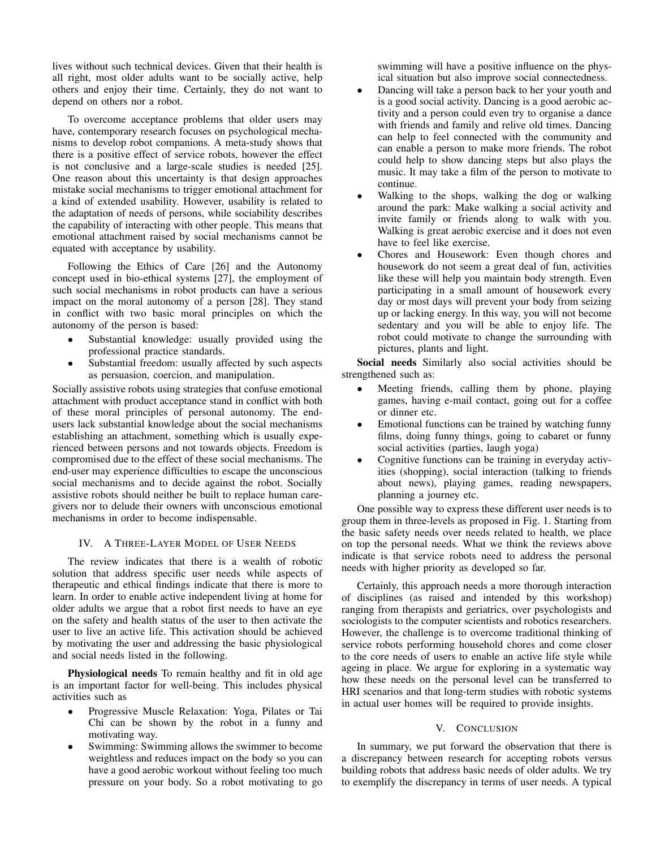lives without such technical devices. Given that their health is all right, most older adults want to be socially active, help others and enjoy their time. Certainly, they do not want to depend on others nor a robot.

To overcome acceptance problems that older users may have, contemporary research focuses on psychological mechanisms to develop robot companions. A meta-study shows that there is a positive effect of service robots, however the effect is not conclusive and a large-scale studies is needed [25]. One reason about this uncertainty is that design approaches mistake social mechanisms to trigger emotional attachment for a kind of extended usability. However, usability is related to the adaptation of needs of persons, while sociability describes the capability of interacting with other people. This means that emotional attachment raised by social mechanisms cannot be equated with acceptance by usability.

Following the Ethics of Care [26] and the Autonomy concept used in bio-ethical systems [27], the employment of such social mechanisms in robot products can have a serious impact on the moral autonomy of a person [28]. They stand in conflict with two basic moral principles on which the autonomy of the person is based:

- Substantial knowledge: usually provided using the professional practice standards.
- Substantial freedom: usually affected by such aspects as persuasion, coercion, and manipulation.

Socially assistive robots using strategies that confuse emotional attachment with product acceptance stand in conflict with both of these moral principles of personal autonomy. The endusers lack substantial knowledge about the social mechanisms establishing an attachment, something which is usually experienced between persons and not towards objects. Freedom is compromised due to the effect of these social mechanisms. The end-user may experience difficulties to escape the unconscious social mechanisms and to decide against the robot. Socially assistive robots should neither be built to replace human caregivers nor to delude their owners with unconscious emotional mechanisms in order to become indispensable.

## IV. A THREE-LAYER MODEL OF USER NEEDS

The review indicates that there is a wealth of robotic solution that address specific user needs while aspects of therapeutic and ethical findings indicate that there is more to learn. In order to enable active independent living at home for older adults we argue that a robot first needs to have an eye on the safety and health status of the user to then activate the user to live an active life. This activation should be achieved by motivating the user and addressing the basic physiological and social needs listed in the following.

Physiological needs To remain healthy and fit in old age is an important factor for well-being. This includes physical activities such as

- Progressive Muscle Relaxation: Yoga, Pilates or Tai Chi can be shown by the robot in a funny and motivating way.
- Swimming: Swimming allows the swimmer to become weightless and reduces impact on the body so you can have a good aerobic workout without feeling too much pressure on your body. So a robot motivating to go

swimming will have a positive influence on the physical situation but also improve social connectedness.

- Dancing will take a person back to her your youth and is a good social activity. Dancing is a good aerobic activity and a person could even try to organise a dance with friends and family and relive old times. Dancing can help to feel connected with the community and can enable a person to make more friends. The robot could help to show dancing steps but also plays the music. It may take a film of the person to motivate to continue.
- Walking to the shops, walking the dog or walking around the park: Make walking a social activity and invite family or friends along to walk with you. Walking is great aerobic exercise and it does not even have to feel like exercise.
- Chores and Housework: Even though chores and housework do not seem a great deal of fun, activities like these will help you maintain body strength. Even participating in a small amount of housework every day or most days will prevent your body from seizing up or lacking energy. In this way, you will not become sedentary and you will be able to enjoy life. The robot could motivate to change the surrounding with pictures, plants and light.

Social needs Similarly also social activities should be strengthened such as:

- Meeting friends, calling them by phone, playing games, having e-mail contact, going out for a coffee or dinner etc.
- Emotional functions can be trained by watching funny films, doing funny things, going to cabaret or funny social activities (parties, laugh yoga)
- Cognitive functions can be training in everyday activities (shopping), social interaction (talking to friends about news), playing games, reading newspapers, planning a journey etc.

One possible way to express these different user needs is to group them in three-levels as proposed in Fig. 1. Starting from the basic safety needs over needs related to health, we place on top the personal needs. What we think the reviews above indicate is that service robots need to address the personal needs with higher priority as developed so far.

Certainly, this approach needs a more thorough interaction of disciplines (as raised and intended by this workshop) ranging from therapists and geriatrics, over psychologists and sociologists to the computer scientists and robotics researchers. However, the challenge is to overcome traditional thinking of service robots performing household chores and come closer to the core needs of users to enable an active life style while ageing in place. We argue for exploring in a systematic way how these needs on the personal level can be transferred to HRI scenarios and that long-term studies with robotic systems in actual user homes will be required to provide insights.

## V. CONCLUSION

In summary, we put forward the observation that there is a discrepancy between research for accepting robots versus building robots that address basic needs of older adults. We try to exemplify the discrepancy in terms of user needs. A typical